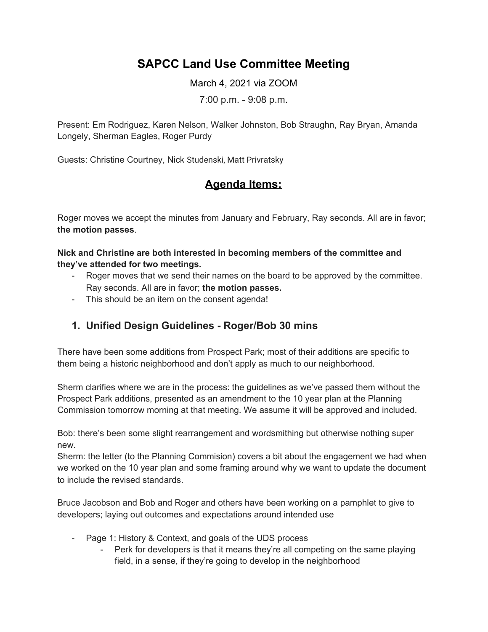# **SAPCC Land Use Committee Meeting**

March 4, 2021 via ZOOM

7:00 p.m. - 9:08 p.m.

Present: Em Rodriguez, Karen Nelson, Walker Johnston, Bob Straughn, Ray Bryan, Amanda Longely, Sherman Eagles, Roger Purdy

Guests: Christine Courtney, Nick Studenski, Matt Privratsky

## **Agenda Items:**

Roger moves we accept the minutes from January and February, Ray seconds. All are in favor; **the motion passes**.

**Nick and Christine are both interested in becoming members of the committee and they've attended for two meetings.**

- Roger moves that we send their names on the board to be approved by the committee. Ray seconds. All are in favor; **the motion passes.**
- This should be an item on the consent agenda!

### **1. Unified Design Guidelines - Roger/Bob 30 mins**

There have been some additions from Prospect Park; most of their additions are specific to them being a historic neighborhood and don't apply as much to our neighborhood.

Sherm clarifies where we are in the process: the guidelines as we've passed them without the Prospect Park additions, presented as an amendment to the 10 year plan at the Planning Commission tomorrow morning at that meeting. We assume it will be approved and included.

Bob: there's been some slight rearrangement and wordsmithing but otherwise nothing super new.

Sherm: the letter (to the Planning Commision) covers a bit about the engagement we had when we worked on the 10 year plan and some framing around why we want to update the document to include the revised standards.

Bruce Jacobson and Bob and Roger and others have been working on a pamphlet to give to developers; laying out outcomes and expectations around intended use

- Page 1: History & Context, and goals of the UDS process
	- Perk for developers is that it means they're all competing on the same playing field, in a sense, if they're going to develop in the neighborhood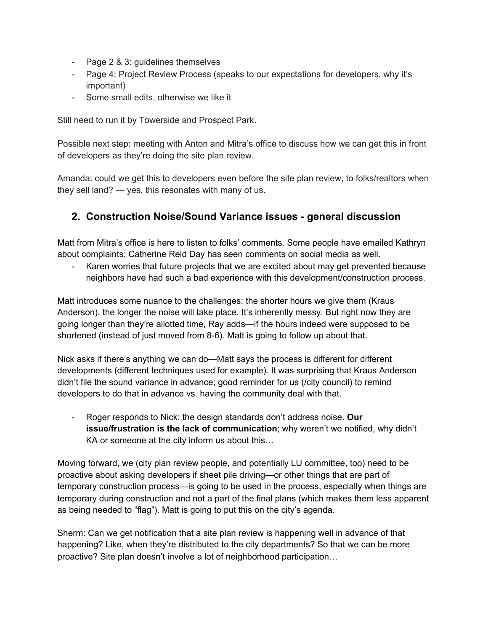- Page 2 & 3: guidelines themselves
- Page 4: Project Review Process (speaks to our expectations for developers, why it's important)
- Some small edits, otherwise we like it

Still need to run it by Towerside and Prospect Park.

Possible next step: meeting with Anton and Mitra's office to discuss how we can get this in front of developers as they're doing the site plan review.

Amanda: could we get this to developers even before the site plan review, to folks/realtors when they sell land? — yes, this resonates with many of us.

#### **2. Construction Noise/Sound Variance issues - general discussion**

Matt from Mitra's office is here to listen to folks' comments. Some people have emailed Kathryn about complaints; Catherine Reid Day has seen comments on social media as well.

Karen worries that future projects that we are excited about may get prevented because neighbors have had such a bad experience with this development/construction process.

Matt introduces some nuance to the challenges: the shorter hours we give them (Kraus Anderson), the longer the noise will take place. It's inherently messy. But right now they are going longer than they're allotted time, Ray adds—if the hours indeed were supposed to be shortened (instead of just moved from 8-6). Matt is going to follow up about that.

Nick asks if there's anything we can do—Matt says the process is different for different developments (different techniques used for example). It was surprising that Kraus Anderson didn't file the sound variance in advance; good reminder for us (/city council) to remind developers to do that in advance vs. having the community deal with that.

- Roger responds to Nick: the design standards don't address noise. **Our issue/frustration is the lack of communication**; why weren't we notified, why didn't KA or someone at the city inform us about this…

Moving forward, we (city plan review people, and potentially LU committee, too) need to be proactive about asking developers if sheet pile driving—or other things that are part of temporary construction process—is going to be used in the process, especially when things are temporary during construction and not a part of the final plans (which makes them less apparent as being needed to "flag"). Matt is going to put this on the city's agenda.

Sherm: Can we get notification that a site plan review is happening well in advance of that happening? Like, when they're distributed to the city departments? So that we can be more proactive? Site plan doesn't involve a lot of neighborhood participation…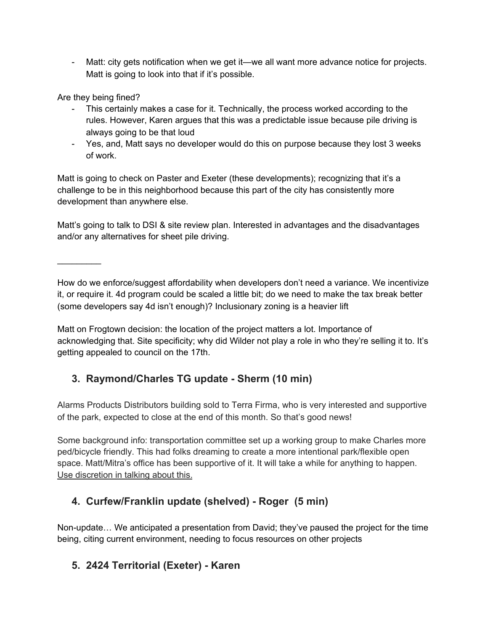- Matt: city gets notification when we get it—we all want more advance notice for projects. Matt is going to look into that if it's possible.

Are they being fined?

 $\frac{1}{2}$ 

- This certainly makes a case for it. Technically, the process worked according to the rules. However, Karen argues that this was a predictable issue because pile driving is always going to be that loud
- Yes, and, Matt says no developer would do this on purpose because they lost 3 weeks of work.

Matt is going to check on Paster and Exeter (these developments); recognizing that it's a challenge to be in this neighborhood because this part of the city has consistently more development than anywhere else.

Matt's going to talk to DSI & site review plan. Interested in advantages and the disadvantages and/or any alternatives for sheet pile driving.

How do we enforce/suggest affordability when developers don't need a variance. We incentivize it, or require it. 4d program could be scaled a little bit; do we need to make the tax break better (some developers say 4d isn't enough)? Inclusionary zoning is a heavier lift

Matt on Frogtown decision: the location of the project matters a lot. Importance of acknowledging that. Site specificity; why did Wilder not play a role in who they're selling it to. It's getting appealed to council on the 17th.

# **3. Raymond/Charles TG update - Sherm (10 min)**

Alarms Products Distributors building sold to Terra Firma, who is very interested and supportive of the park, expected to close at the end of this month. So that's good news!

Some background info: transportation committee set up a working group to make Charles more ped/bicycle friendly. This had folks dreaming to create a more intentional park/flexible open space. Matt/Mitra's office has been supportive of it. It will take a while for anything to happen. Use discretion in talking about this.

## **4. Curfew/Franklin update (shelved) - Roger (5 min)**

Non-update… We anticipated a presentation from David; they've paused the project for the time being, citing current environment, needing to focus resources on other projects

## **5. 2424 Territorial (Exeter) - Karen**